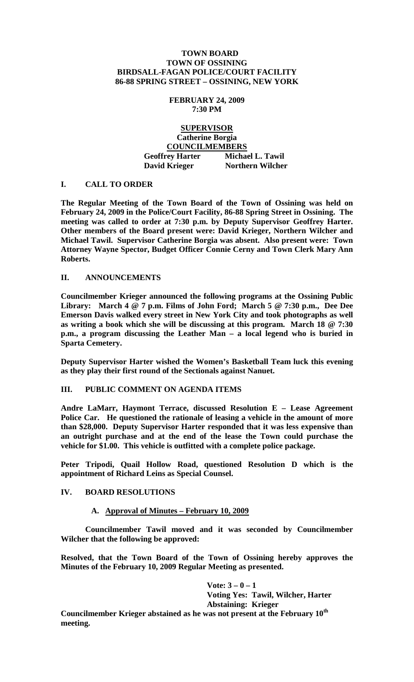## **TOWN BOARD TOWN OF OSSINING BIRDSALL-FAGAN POLICE/COURT FACILITY 86-88 SPRING STREET – OSSINING, NEW YORK**

## **FEBRUARY 24, 2009 7:30 PM**

# **SUPERVISOR Catherine Borgia COUNCILMEMBERS Geoffrey Harter Michael L. Tawil David Krieger Northern Wilcher**

# **I. CALL TO ORDER**

**The Regular Meeting of the Town Board of the Town of Ossining was held on February 24, 2009 in the Police/Court Facility, 86-88 Spring Street in Ossining. The meeting was called to order at 7:30 p.m. by Deputy Supervisor Geoffrey Harter. Other members of the Board present were: David Krieger, Northern Wilcher and Michael Tawil. Supervisor Catherine Borgia was absent. Also present were: Town Attorney Wayne Spector, Budget Officer Connie Cerny and Town Clerk Mary Ann Roberts.**

## **II. ANNOUNCEMENTS**

**Councilmember Krieger announced the following programs at the Ossining Public Library: March 4 @ 7 p.m. Films of John Ford; March 5 @ 7:30 p.m., Dee Dee Emerson Davis walked every street in New York City and took photographs as well as writing a book which she will be discussing at this program. March 18 @ 7:30 p.m., a program discussing the Leather Man – a local legend who is buried in Sparta Cemetery.**

**Deputy Supervisor Harter wished the Women's Basketball Team luck this evening as they play their first round of the Sectionals against Nanuet.**

# **III. PUBLIC COMMENT ON AGENDA ITEMS**

**Andre LaMarr, Haymont Terrace, discussed Resolution E – Lease Agreement Police Car. He questioned the rationale of leasing a vehicle in the amount of more than \$28,000. Deputy Supervisor Harter responded that it was less expensive than an outright purchase and at the end of the lease the Town could purchase the vehicle for \$1.00. This vehicle is outfitted with a complete police package.**

**Peter Tripodi, Quail Hollow Road, questioned Resolution D which is the appointment of Richard Leins as Special Counsel.** 

# **IV. BOARD RESOLUTIONS**

#### **A. Approval of Minutes – February 10, 2009**

**Councilmember Tawil moved and it was seconded by Councilmember Wilcher that the following be approved:**

**Resolved, that the Town Board of the Town of Ossining hereby approves the Minutes of the February 10, 2009 Regular Meeting as presented.**

> **Vote: 3 – 0 – 1 Voting Yes: Tawil, Wilcher, Harter Abstaining: Krieger**

**Councilmember Krieger abstained as he was not present at the February 10th meeting.**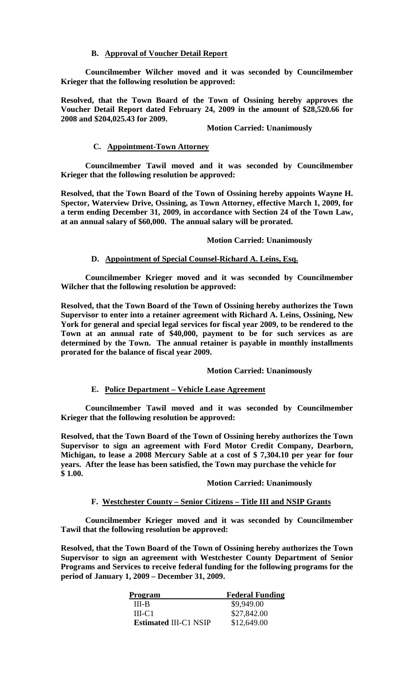## **B. Approval of Voucher Detail Report**

**Councilmember Wilcher moved and it was seconded by Councilmember Krieger that the following resolution be approved:**

**Resolved, that the Town Board of the Town of Ossining hereby approves the Voucher Detail Report dated February 24, 2009 in the amount of \$28,520.66 for 2008 and \$204,025.43 for 2009.**

#### **Motion Carried: Unanimously**

### **C. Appointment-Town Attorney**

**Councilmember Tawil moved and it was seconded by Councilmember Krieger that the following resolution be approved:**

**Resolved, that the Town Board of the Town of Ossining hereby appoints Wayne H. Spector, Waterview Drive, Ossining, as Town Attorney, effective March 1, 2009, for a term ending December 31, 2009, in accordance with Section 24 of the Town Law, at an annual salary of \$60,000. The annual salary will be prorated.**

#### **Motion Carried: Unanimously**

## **D. Appointment of Special Counsel-Richard A. Leins, Esq.**

**Councilmember Krieger moved and it was seconded by Councilmember Wilcher that the following resolution be approved:**

**Resolved, that the Town Board of the Town of Ossining hereby authorizes the Town Supervisor to enter into a retainer agreement with Richard A. Leins, Ossining, New York for general and special legal services for fiscal year 2009, to be rendered to the Town at an annual rate of \$40,000, payment to be for such services as are determined by the Town. The annual retainer is payable in monthly installments prorated for the balance of fiscal year 2009.**

## **Motion Carried: Unanimously**

#### **E. Police Department – Vehicle Lease Agreement**

**Councilmember Tawil moved and it was seconded by Councilmember Krieger that the following resolution be approved:**

**Resolved, that the Town Board of the Town of Ossining hereby authorizes the Town Supervisor to sign an agreement with Ford Motor Credit Company, Dearborn, Michigan, to lease a 2008 Mercury Sable at a cost of \$ 7,304.10 per year for four years. After the lease has been satisfied, the Town may purchase the vehicle for \$ 1.00.** 

#### **Motion Carried: Unanimously**

#### **F. Westchester County – Senior Citizens – Title III and NSIP Grants**

**Councilmember Krieger moved and it was seconded by Councilmember Tawil that the following resolution be approved:**

**Resolved, that the Town Board of the Town of Ossining hereby authorizes the Town Supervisor to sign an agreement with Westchester County Department of Senior Programs and Services to receive federal funding for the following programs for the period of January 1, 2009 – December 31, 2009.**

| <b>Program</b>               | <b>Federal Funding</b> |
|------------------------------|------------------------|
| III-B                        | \$9,949.00             |
| $III-C1$                     | \$27,842.00            |
| <b>Estimated III-C1 NSIP</b> | \$12,649.00            |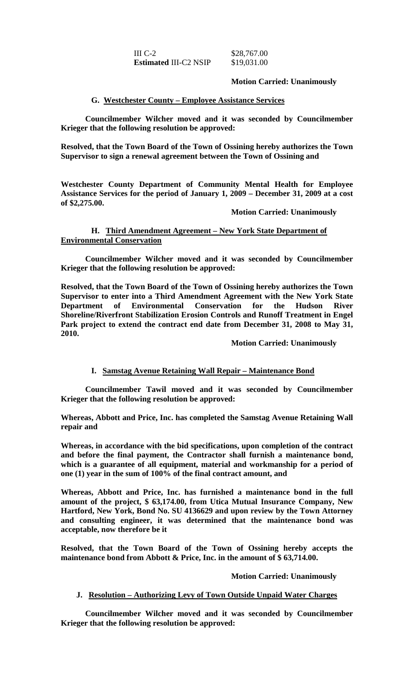III C-2 \$28,767.00 **Estimated** III-C2 NSIP \$19,031.00

## **Motion Carried: Unanimously**

## **G. Westchester County – Employee Assistance Services**

**Councilmember Wilcher moved and it was seconded by Councilmember Krieger that the following resolution be approved:**

**Resolved, that the Town Board of the Town of Ossining hereby authorizes the Town Supervisor to sign a renewal agreement between the Town of Ossining and** 

**Westchester County Department of Community Mental Health for Employee Assistance Services for the period of January 1, 2009 – December 31, 2009 at a cost of \$2,275.00.**

#### **Motion Carried: Unanimously**

# **H. Third Amendment Agreement – New York State Department of Environmental Conservation**

**Councilmember Wilcher moved and it was seconded by Councilmember Krieger that the following resolution be approved:**

**Resolved, that the Town Board of the Town of Ossining hereby authorizes the Town Supervisor to enter into a Third Amendment Agreement with the New York State Department of Environmental Conservation for the Hudson River Shoreline/Riverfront Stabilization Erosion Controls and Runoff Treatment in Engel Park project to extend the contract end date from December 31, 2008 to May 31, 2010.**

#### **Motion Carried: Unanimously**

# **I. Samstag Avenue Retaining Wall Repair – Maintenance Bond**

**Councilmember Tawil moved and it was seconded by Councilmember Krieger that the following resolution be approved:**

**Whereas, Abbott and Price, Inc. has completed the Samstag Avenue Retaining Wall repair and** 

**Whereas, in accordance with the bid specifications, upon completion of the contract and before the final payment, the Contractor shall furnish a maintenance bond, which is a guarantee of all equipment, material and workmanship for a period of one (1) year in the sum of 100% of the final contract amount, and**

**Whereas, Abbott and Price, Inc. has furnished a maintenance bond in the full amount of the project, \$ 63,174.00, from Utica Mutual Insurance Company, New Hartford, New York, Bond No. SU 4136629 and upon review by the Town Attorney and consulting engineer, it was determined that the maintenance bond was acceptable, now therefore be it**

**Resolved, that the Town Board of the Town of Ossining hereby accepts the maintenance bond from Abbott & Price, Inc. in the amount of \$ 63,714.00.** 

#### **Motion Carried: Unanimously**

## **J. Resolution – Authorizing Levy of Town Outside Unpaid Water Charges**

**Councilmember Wilcher moved and it was seconded by Councilmember Krieger that the following resolution be approved:**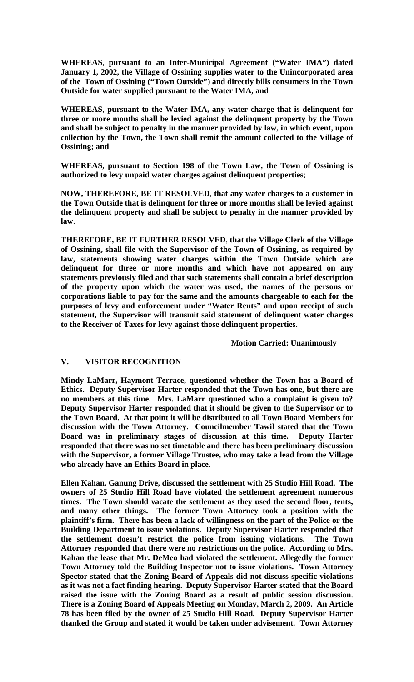**WHEREAS**, **pursuant to an Inter-Municipal Agreement ("Water IMA") dated January 1, 2002, the Village of Ossining supplies water to the Unincorporated area of the Town of Ossining ("Town Outside") and directly bills consumers in the Town Outside for water supplied pursuant to the Water IMA, and**

**WHEREAS**, **pursuant to the Water IMA, any water charge that is delinquent for three or more months shall be levied against the delinquent property by the Town and shall be subject to penalty in the manner provided by law, in which event, upon collection by the Town, the Town shall remit the amount collected to the Village of Ossining; and**

**WHEREAS, pursuant to Section 198 of the Town Law, the Town of Ossining is authorized to levy unpaid water charges against delinquent properties**;

**NOW, THEREFORE, BE IT RESOLVED**, **that any water charges to a customer in the Town Outside that is delinquent for three or more months shall be levied against the delinquent property and shall be subject to penalty in the manner provided by law**.

**THEREFORE, BE IT FURTHER RESOLVED**, **that the Village Clerk of the Village of Ossining, shall file with the Supervisor of the Town of Ossining, as required by law, statements showing water charges within the Town Outside which are delinquent for three or more months and which have not appeared on any statements previously filed and that such statements shall contain a brief description of the property upon which the water was used, the names of the persons or corporations liable to pay for the same and the amounts chargeable to each for the purposes of levy and enforcement under "Water Rents" and upon receipt of such statement, the Supervisor will transmit said statement of delinquent water charges to the Receiver of Taxes for levy against those delinquent properties.**

**Motion Carried: Unanimously**

# **V. VISITOR RECOGNITION**

**Mindy LaMarr, Haymont Terrace, questioned whether the Town has a Board of Ethics. Deputy Supervisor Harter responded that the Town has one, but there are no members at this time. Mrs. LaMarr questioned who a complaint is given to? Deputy Supervisor Harter responded that it should be given to the Supervisor or to the Town Board. At that point it will be distributed to all Town Board Members for discussion with the Town Attorney. Councilmember Tawil stated that the Town Board was in preliminary stages of discussion at this time. Deputy Harter responded that there was no set timetable and there has been preliminary discussion with the Supervisor, a former Village Trustee, who may take a lead from the Village who already have an Ethics Board in place.**

**Ellen Kahan, Ganung Drive, discussed the settlement with 25 Studio Hill Road. The owners of 25 Studio Hill Road have violated the settlement agreement numerous times. The Town should vacate the settlement as they used the second floor, tents, and many other things. The former Town Attorney took a position with the plaintiff's firm. There has been a lack of willingness on the part of the Police or the Building Department to issue violations. Deputy Supervisor Harter responded that the settlement doesn't restrict the police from issuing violations. The Town Attorney responded that there were no restrictions on the police. According to Mrs. Kahan the lease that Mr. DeMeo had violated the settlement. Allegedly the former Town Attorney told the Building Inspector not to issue violations. Town Attorney Spector stated that the Zoning Board of Appeals did not discuss specific violations as it was not a fact finding hearing. Deputy Supervisor Harter stated that the Board raised the issue with the Zoning Board as a result of public session discussion. There is a Zoning Board of Appeals Meeting on Monday, March 2, 2009. An Article 78 has been filed by the owner of 25 Studio Hill Road. Deputy Supervisor Harter thanked the Group and stated it would be taken under advisement. Town Attorney**